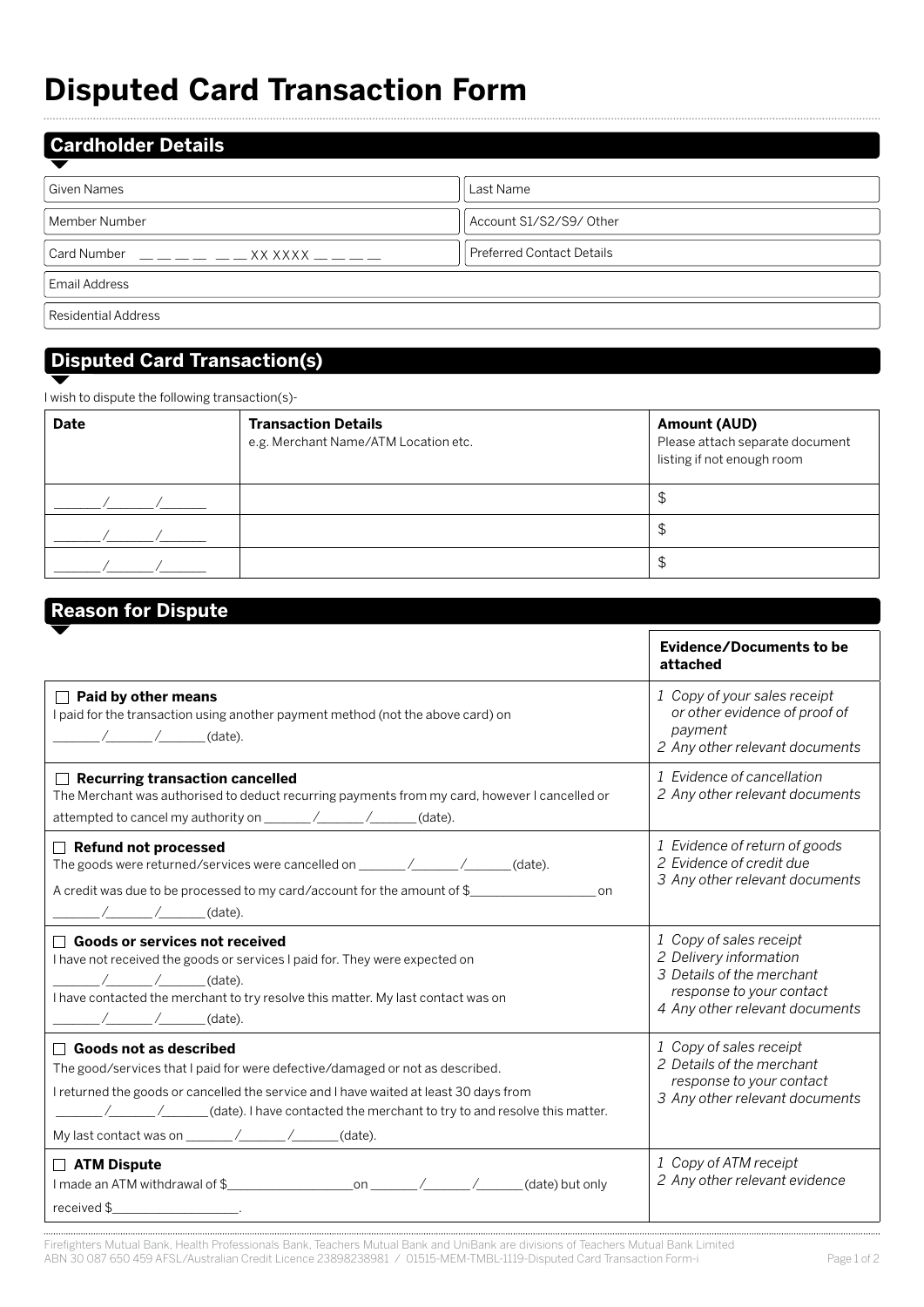# **Disputed Card Transaction Form**

### **Cardholder Details**

| Given Names         | Last Name                 |
|---------------------|---------------------------|
| Member Number       | Account S1/S2/S9/Other    |
| l Card Number       | Preferred Contact Details |
| Email Address       |                           |
| Residential Address |                           |

## **Disputed Card Transaction(s)**

I wish to dispute the following transaction(s)-

| <b>Date</b> | <b>Transaction Details</b><br>e.g. Merchant Name/ATM Location etc. | <b>Amount (AUD)</b><br>Please attach separate document<br>listing if not enough room |
|-------------|--------------------------------------------------------------------|--------------------------------------------------------------------------------------|
|             |                                                                    | I                                                                                    |
|             |                                                                    | Φ                                                                                    |
|             |                                                                    | S                                                                                    |

#### **Evidence/Documents to be attached Paid by other means**  I paid for the transaction using another payment method (not the above card) on  $\sqrt{2\pi}$  / (date). *1 Copy of your sales receipt or other evidence of proof of payment 2 Any other relevant documents* **Recurring transaction cancelled**  The Merchant was authorised to deduct recurring payments from my card, however I cancelled or attempted to cancel my authority on \_\_\_\_\_\_\_/\_\_\_\_\_\_\_\_/\_\_\_\_\_\_\_(date). *1 Evidence of cancellation 2 Any other relevant documents* **Refund not processed**  The goods were returned/services were cancelled on \_\_\_\_\_\_\_/\_\_\_\_\_\_/\_\_\_\_\_\_(date). A credit was due to be processed to my card/account for the amount of \$\_\_\_\_\_\_\_\_\_\_\_\_\_\_\_\_\_\_\_\_\_\_\_\_\_on  $\frac{1}{2}$  /  $\frac{1}{2}$  (date). *1 Evidence of return of goods 2 Evidence of credit due 3 Any other relevant documents* **Goods or services not received**  I have not received the goods or services I paid for. They were expected on  $\frac{1}{2}$  /  $\frac{1}{2}$  (date). I have contacted the merchant to try resolve this matter. My last contact was on  $\frac{1}{2}$  /  $\frac{1}{2}$  (date). *1 Copy of sales receipt 2 Delivery information 3 Details of the merchant response to your contact 4 Any other relevant documents* **Goods not as described**  The good/services that I paid for were defective/damaged or not as described. I returned the goods or cancelled the service and I have waited at least 30 days from  $\frac{1}{2}$  /  $\frac{1}{2}$  (date). I have contacted the merchant to try to and resolve this matter. My last contact was on  $\angle$  /  $\angle$  (date). *1 Copy of sales receipt 2 Details of the merchant response to your contact 3 Any other relevant documents* **ATM Dispute**  I made an ATM withdrawal of \$\_\_\_\_\_\_\_\_\_\_\_\_\_\_\_\_\_\_\_ on \_\_\_\_\_\_\_ /\_\_\_\_\_\_\_ /\_\_\_\_\_\_\_ (date) but only  $2$  hevienes *1 Copy of ATM receipt 2 Any other relevant evidence* **Reason for Dispute**

Firefighters Mutual Bank, Health Professionals Bank, Teachers Mutual Bank and UniBank are divisions of Teachers Mutual Bank Limited ABN 30 087 650 459 AFSL/Australian Credit Licence 23898238981 / 01515-MEM-TMBL-1119-Disputed Card Transaction Form-i